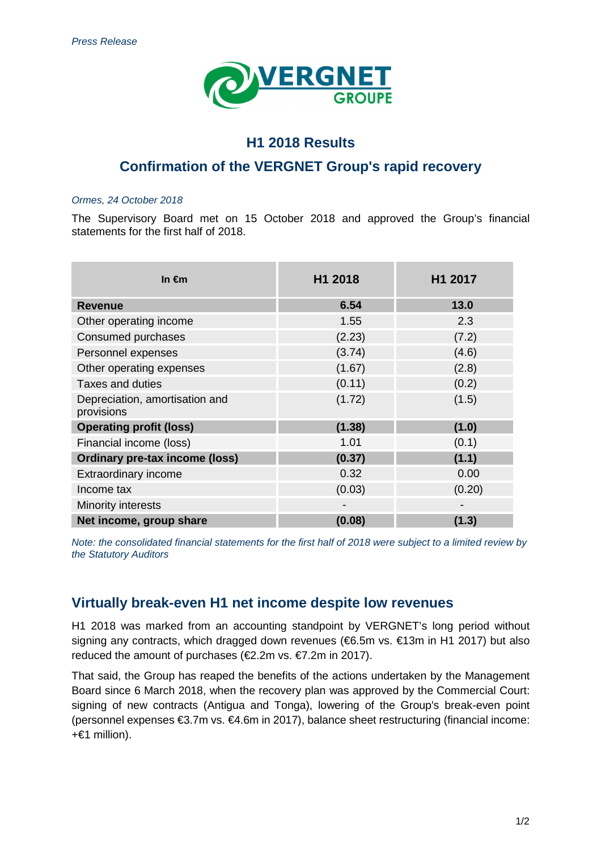

### **H1 2018 Results**

## **Confirmation of the VERGNET Group's rapid recovery**

#### Ormes, 24 October 2018

The Supervisory Board met on 15 October 2018 and approved the Group's financial statements for the first half of 2018.

| In $\epsilon$ m                              | H1 2018 | H1 2017 |
|----------------------------------------------|---------|---------|
| <b>Revenue</b>                               | 6.54    | 13.0    |
| Other operating income                       | 1.55    | 2.3     |
| Consumed purchases                           | (2.23)  | (7.2)   |
| Personnel expenses                           | (3.74)  | (4.6)   |
| Other operating expenses                     | (1.67)  | (2.8)   |
| <b>Taxes and duties</b>                      | (0.11)  | (0.2)   |
| Depreciation, amortisation and<br>provisions | (1.72)  | (1.5)   |
| <b>Operating profit (loss)</b>               | (1.38)  | (1.0)   |
| Financial income (loss)                      | 1.01    | (0.1)   |
| <b>Ordinary pre-tax income (loss)</b>        | (0.37)  | (1.1)   |
| Extraordinary income                         | 0.32    | 0.00    |
| Income tax                                   | (0.03)  | (0.20)  |
| Minority interests                           |         |         |
| Net income, group share                      | (0.08)  | (1.3)   |

Note: the consolidated financial statements for the first half of 2018 were subject to a limited review by the Statutory Auditors

#### **Virtually break-even H1 net income despite low revenues**

H1 2018 was marked from an accounting standpoint by VERGNET's long period without signing any contracts, which dragged down revenues (€6.5m vs. €13m in H1 2017) but also reduced the amount of purchases (€2.2m vs. €7.2m in 2017).

That said, the Group has reaped the benefits of the actions undertaken by the Management Board since 6 March 2018, when the recovery plan was approved by the Commercial Court: signing of new contracts (Antigua and Tonga), lowering of the Group's break-even point (personnel expenses €3.7m vs. €4.6m in 2017), balance sheet restructuring (financial income: +€1 million).